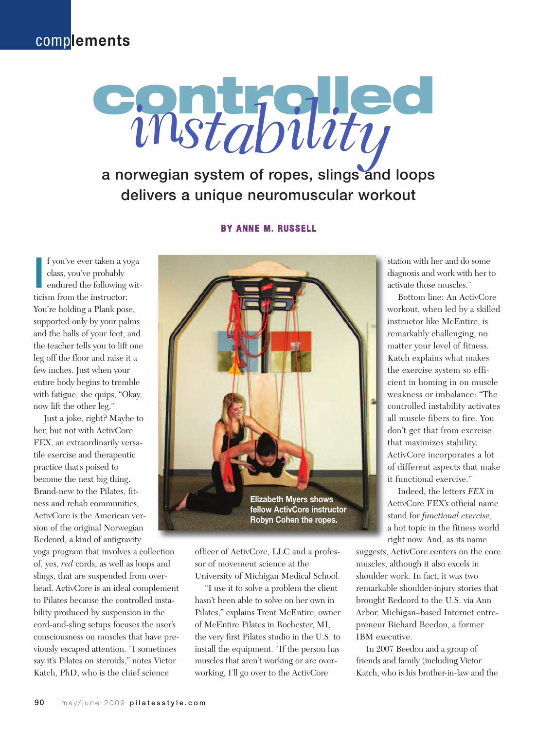### comp**lements**

# **controlled** a norwegian system of ropes, slings and loops delivers a unique neuromuscular workout *instability*

#### **BY ANNE M. RUSSELL**

I fyou've ever taken a y class, you've probably endured the following ticism from the instructor: f you've ever taken a yoga class, you've probably endured the following wit-You're holding a Plank pose, supported only by your palms and the balls of your feet, and the teacher tells you to lift one leg off the floor and raise it a few inches. Just when your entire body begins to tremble with fatigue, she quips, "Okay, now lift the other leg."

Just a joke, right? Maybe to her, but not with ActivCore FEX, an extraordinarily versatile exercise and therapeutic practice that's poised to become the next big thing. Brand-new to the Pilates, fitness and rehab communities, ActivCore is the American version of the original Norwegian Redcord, a kind of antigravity

yoga program that involves a collection of, yes, *red* cords, as well as loops and slings, that are suspended from overhead. ActivCore is an ideal complement to Pilates because the controlled instability produced by suspension in the cord-and-sling setups focuses the user's consciousness on muscles that have previously escaped attention. "I sometimes say it's Pilates on steroids," notes Victor Katch, PhD, who is the chief science



officer of ActivCore, LLC and a professor of movement science at the University of Michigan Medical School.

"I use it to solve a problem the client hasn't been able to solve on her own in Pilates," explains Trent McEntire, owner of McEntire Pilates in Rochester, MI, the very first Pilates studio in the U.S. to install the equipment. "If the person has muscles that aren't working or are overworking, I'll go over to the ActivCore

station with her and do some diagnosis and work with her to activate those muscles."

Bottom line: An ActivCore workout, when led by a skilled instructor like McEntire, is remarkably challenging, no matter your level of fitness. Katch explains what makes the exercise system so efficient in homing in on muscle weakness or imbalance: "The controlled instability activates all muscle fibers to fire. You don't get that from exercise that maximizes stability. ActivCore incorporates a lot of different aspects that make it functional exercise."

Indeed, the letters *FEX* in ActivCore FEX's official name stand for *functional exercise*, a hot topic in the fitness world right now. And, as its name

suggests, ActivCore centers on the core muscles, although it also excels in shoulder work. In fact, it was two remarkable shoulder-injury stories that brought Redcord to the U.S. via Ann Arbor, Michigan–based Internet entrepreneur Richard Beedon, a former IBM executive.

In 2007 Beedon and a group of friends and family (including Victor Katch, who is his brother-in-law and the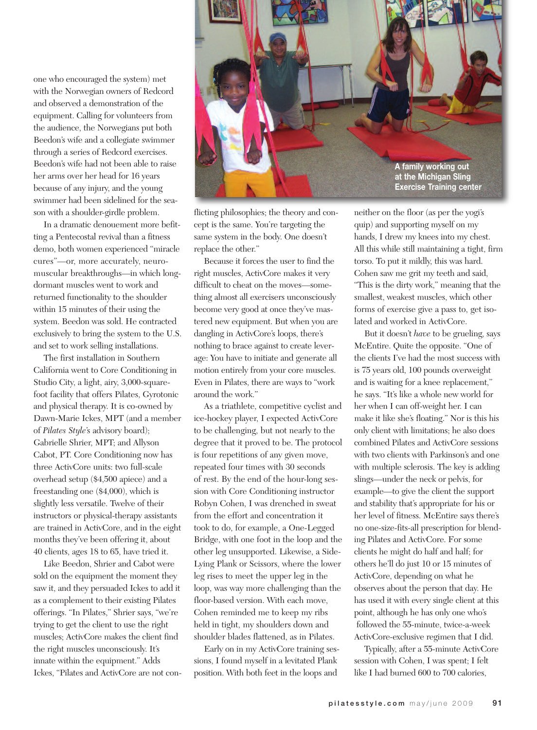one who encouraged the system) met with the Norwegian owners of Redcord and observed a demonstration of the equipment. Calling for volunteers from the audience, the Norwegians put both Beedon's wife and a collegiate swimmer through a series of Redcord exercises. Beedon's wife had not been able to raise her arms over her head for 16 years because of any injury, and the young swimmer had been sidelined for the season with a shoulder-girdle problem.

In a dramatic denouement more befitting a Pentecostal revival than a fitness demo, both women experienced "miracle cures"—or, more accurately, neuromuscular breakthroughs—in which longdormant muscles went to work and returned functionality to the shoulder within 15 minutes of their using the system. Beedon was sold. He contracted exclusively to bring the system to the U.S. and set to work selling installations.

The first installation in Southern California went to Core Conditioning in Studio City, a light, airy, 3,000-squarefoot facility that offers Pilates, Gyrotonic and physical therapy. It is co-owned by Dawn-Marie Ickes, MPT (and a member of *Pilates Style*'s advisory board); Gabrielle Shrier, MPT; and Allyson Cabot, PT. Core Conditioning now has three ActivCore units: two full-scale overhead setup (\$4,500 apiece) and a freestanding one (\$4,000), which is slightly less versatile. Twelve of their instructors or physical-therapy assistants are trained in ActivCore, and in the eight months they've been offering it, about 40 clients, ages 18 to 65, have tried it.

Like Beedon, Shrier and Cabot were sold on the equipment the moment they saw it, and they persuaded Ickes to add it as a complement to their existing Pilates offerings. "In Pilates," Shrier says, "we're trying to get the client to use the right muscles; ActivCore makes the client find the right muscles unconsciously. It's innate within the equipment." Adds Ickes, "Pilates and ActivCore are not con-



flicting philosophies; the theory and concept is the same. You're targeting the same system in the body. One doesn't replace the other."

Because it forces the user to find the right muscles, ActivCore makes it very difficult to cheat on the moves—something almost all exercisers unconsciously become very good at once they've mastered new equipment. But when you are dangling in ActivCore's loops, there's nothing to brace against to create leverage: You have to initiate and generate all motion entirely from your core muscles. Even in Pilates, there are ways to "work around the work."

As a triathlete, competitive cyclist and ice-hockey player, I expected ActivCore to be challenging, but not nearly to the degree that it proved to be. The protocol is four repetitions of any given move, repeated four times with 30 seconds of rest. By the end of the hour-long session with Core Conditioning instructor Robyn Cohen, I was drenched in sweat from the effort and concentration it took to do, for example, a One-Legged Bridge, with one foot in the loop and the other leg unsupported. Likewise, a Side-Lying Plank or Scissors, where the lower leg rises to meet the upper leg in the loop, was way more challenging than the floor-based version. With each move, Cohen reminded me to keep my ribs held in tight, my shoulders down and shoulder blades flattened, as in Pilates.

Early on in my ActivCore training sessions, I found myself in a levitated Plank position. With both feet in the loops and

neither on the floor (as per the yogi's quip) and supporting myself on my hands, I drew my knees into my chest. All this while still maintaining a tight, firm torso. To put it mildly, this was hard. Cohen saw me grit my teeth and said, "This is the dirty work," meaning that the smallest, weakest muscles, which other forms of exercise give a pass to, get isolated and worked in ActivCore.

But it doesn't *have* to be grueling, says McEntire. Quite the opposite. "One of the clients I've had the most success with is 75 years old, 100 pounds overweight and is waiting for a knee replacement," he says. "It's like a whole new world for her when I can off-weight her. I can make it like she's floating." Nor is this his only client with limitations; he also does combined Pilates and ActivCore sessions with two clients with Parkinson's and one with multiple sclerosis. The key is adding slings—under the neck or pelvis, for example—to give the client the support and stability that's appropriate for his or her level of fitness. McEntire says there's no one-size-fits-all prescription for blending Pilates and ActivCore. For some clients he might do half and half; for others he'll do just 10 or 15 minutes of ActivCore, depending on what he observes about the person that day. He has used it with every single client at this point, although he has only one who's followed the 55-minute, twice-a-week ActivCore-exclusive regimen that I did.

Typically, after a 55-minute ActivCore session with Cohen, I was spent; I felt like I had burned 600 to 700 calories,